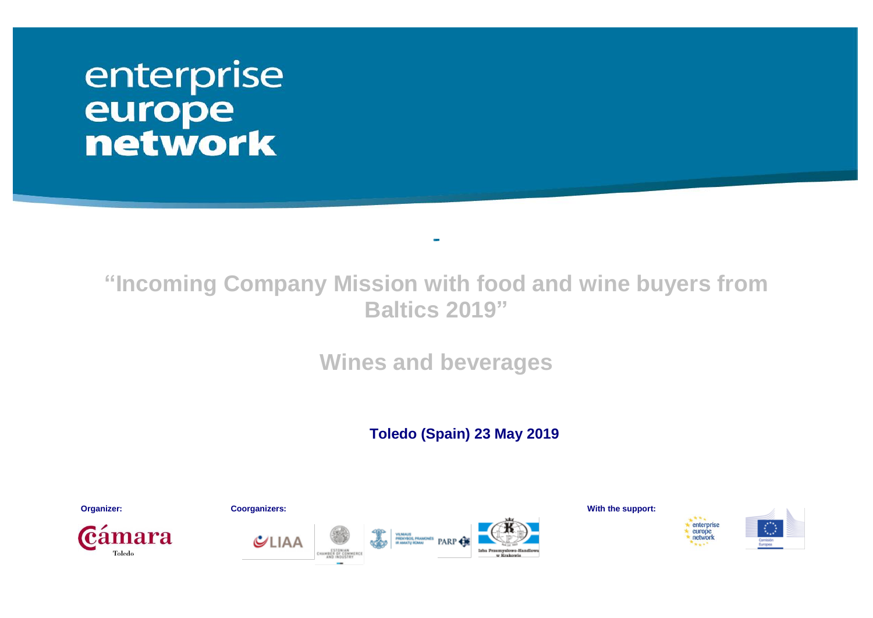# enterprise europe<br>network

# **"Incoming Company Mission with food and wine buyers from Baltics 2019"**

**Wines and beverages**

 **Toledo (Spain) 23 May 2019**

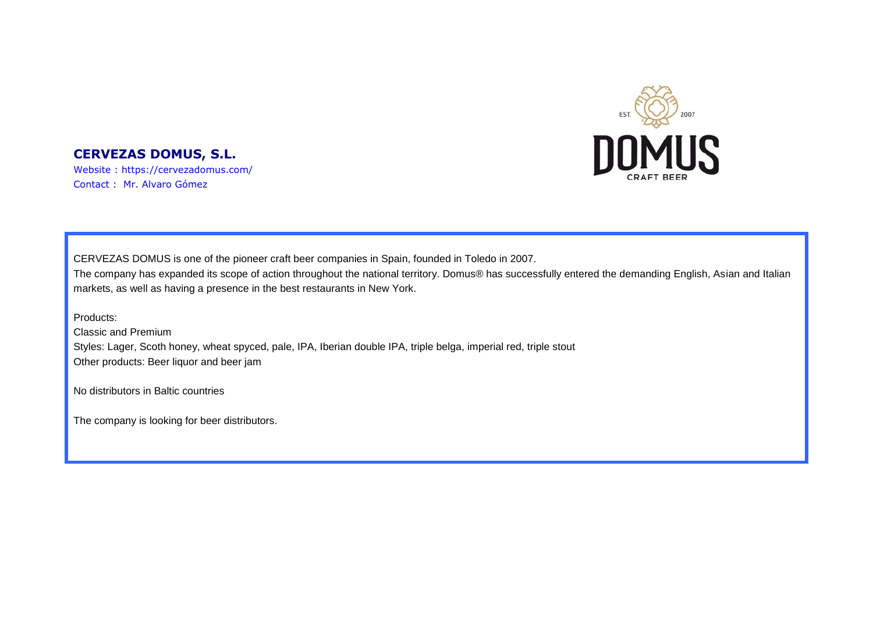

## **CERVEZAS DOMUS, S.L.**

Website : https://cervezadomus.com/ Contact : Mr. Alvaro Gómez

CERVEZAS DOMUS is one of the pioneer craft beer companies in Spain, founded in Toledo in 2007. The company has expanded its scope of action throughout the national territory. Domus® has successfully entered the demanding English, Asian and Italian markets, as well as having a presence in the best restaurants in New York.

Products:

Classic and Premium Styles: Lager, Scoth honey, wheat spyced, pale, IPA, Iberian double IPA, triple belga, imperial red, triple stout Other products: Beer liquor and beer jam

No distributors in Baltic countries

The company is looking for beer distributors.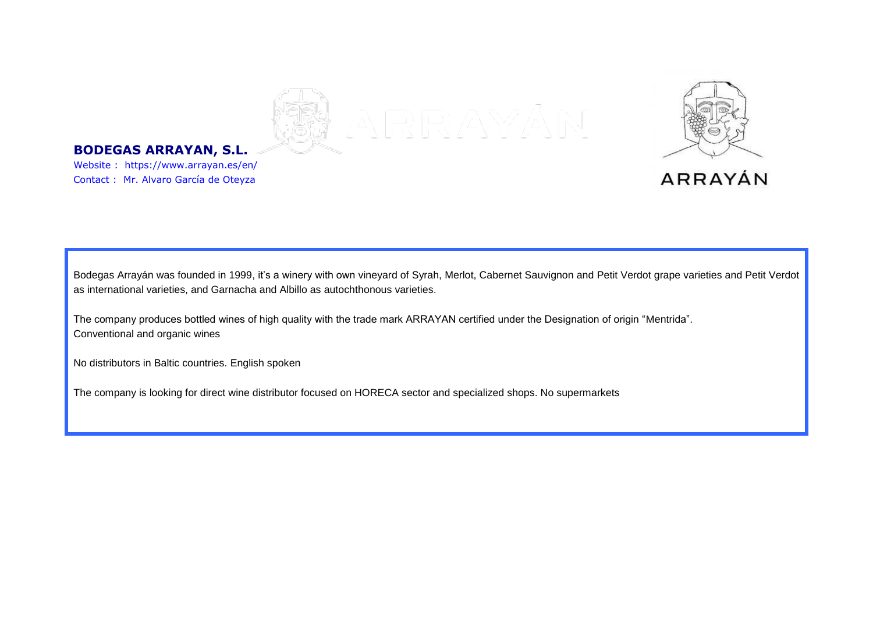

#### **BODEGAS ARRAYAN, S.L.**

Website : https://www.arrayan.es/en/ Contact : Mr. Alvaro García de Oteyza

Bodegas Arrayán was founded in 1999, it's a winery with own vineyard of Syrah, Merlot, Cabernet Sauvignon and Petit Verdot grape varieties and Petit Verdot as international varieties, and Garnacha and Albillo as autochthonous varieties.

The company produces bottled wines of high quality with the trade mark ARRAYAN certified under the Designation of origin "Mentrida". Conventional and organic wines

No distributors in Baltic countries. English spoken

The company is looking for direct wine distributor focused on HORECA sector and specialized shops. No supermarkets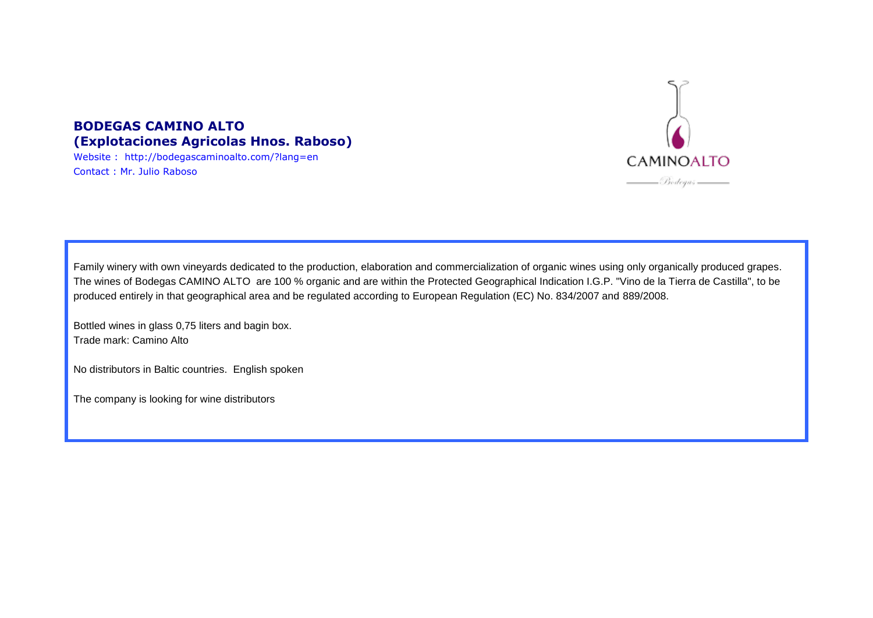

#### **BODEGAS CAMINO ALTO (Explotaciones Agricolas Hnos. Raboso)**

Website : http://bodegascaminoalto.com/?lang=en Contact : Mr. Julio Raboso

Family winery with own vineyards dedicated to the production, elaboration and commercialization of organic wines using only organically produced grapes. The wines of Bodegas CAMINO ALTO are 100 % organic and are within the Protected Geographical Indication I.G.P. "Vino de la Tierra de Castilla", to be produced entirely in that geographical area and be regulated according to European Regulation (EC) No. 834/2007 and 889/2008.

Bottled wines in glass 0,75 liters and bagin box. Trade mark: Camino Alto

No distributors in Baltic countries. English spoken

The company is looking for wine distributors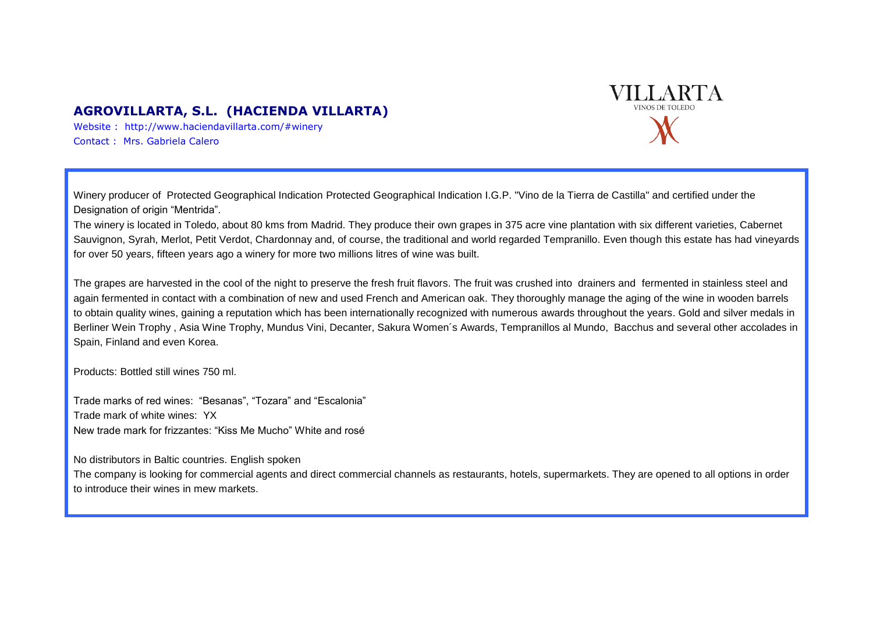#### **AGROVILLARTA, S.L. (HACIENDA VILLARTA)**

Website : http://www.haciendavillarta.com/#winery Contact : Mrs. Gabriela Calero

Winery producer of Protected Geographical Indication Protected Geographical Indication I.G.P. "Vino de la Tierra de Castilla" and certified under the Designation of origin "Mentrida".

The winery is located in Toledo, about 80 kms from Madrid. They produce their own grapes in 375 acre vine plantation with six different varieties, Cabernet Sauvignon, Syrah, Merlot, Petit Verdot, Chardonnay and, of course, the traditional and world regarded Tempranillo. Even though this estate has had vineyards for over 50 years, fifteen years ago a winery for more two millions litres of wine was built.

The grapes are harvested in the cool of the night to preserve the fresh fruit flavors. The fruit was crushed into drainers and fermented in stainless steel and again fermented in contact with a combination of new and used French and American oak. They thoroughly manage the aging of the wine in wooden barrels to obtain quality wines, gaining a reputation which has been internationally recognized with numerous awards throughout the years. Gold and silver medals in Berliner Wein Trophy , Asia Wine Trophy, Mundus Vini, Decanter, Sakura Women´s Awards, Tempranillos al Mundo, Bacchus and several other accolades in Spain, Finland and even Korea.

Products: Bottled still wines 750 ml.

Trade marks of red wines: "Besanas", "Tozara" and "Escalonia" Trade mark of white wines: YX New trade mark for frizzantes: "Kiss Me Mucho" White and rosé

No distributors in Baltic countries. English spoken

The company is looking for commercial agents and direct commercial channels as restaurants, hotels, supermarkets. They are opened to all options in order to introduce their wines in mew markets.

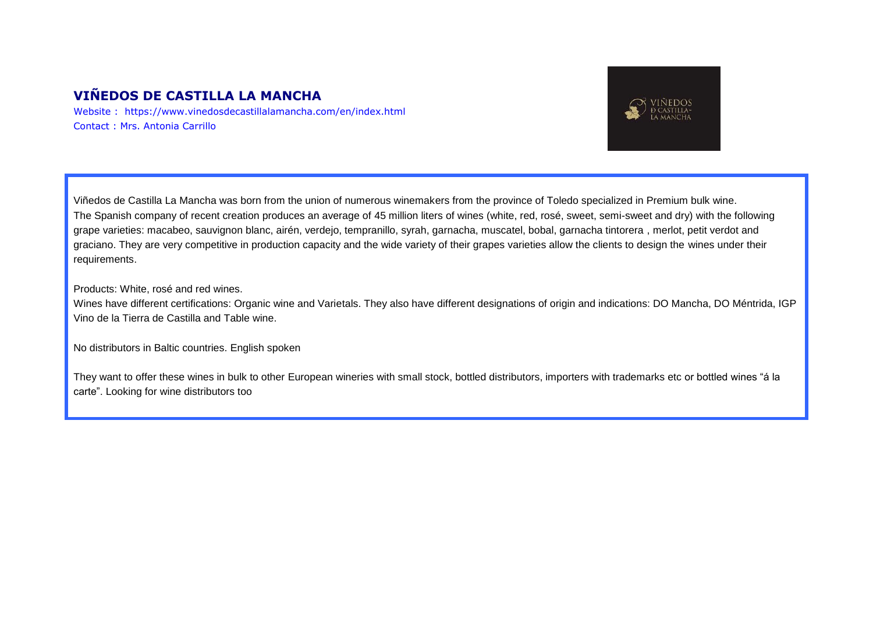## **VIÑEDOS DE CASTILLA LA MANCHA**

Website : https://www.vinedosdecastillalamancha.com/en/index.html Contact : Mrs. Antonia Carrillo



Viñedos de Castilla La Mancha was born from the union of numerous winemakers from the province of Toledo specialized in Premium bulk wine. The Spanish company of recent creation produces an average of 45 million liters of wines (white, red, rosé, sweet, semi-sweet and dry) with the following grape varieties: macabeo, sauvignon blanc, airén, verdejo, tempranillo, syrah, garnacha, muscatel, bobal, garnacha tintorera , merlot, petit verdot and graciano. They are very competitive in production capacity and the wide variety of their grapes varieties allow the clients to design the wines under their requirements.

Products: White, rosé and red wines.

Wines have different certifications: Organic wine and Varietals. They also have different designations of origin and indications: DO Mancha, DO Méntrida, IGP Vino de la Tierra de Castilla and Table wine.

No distributors in Baltic countries. English spoken

They want to offer these wines in bulk to other European wineries with small stock, bottled distributors, importers with trademarks etc or bottled wines "á la carte". Looking for wine distributors too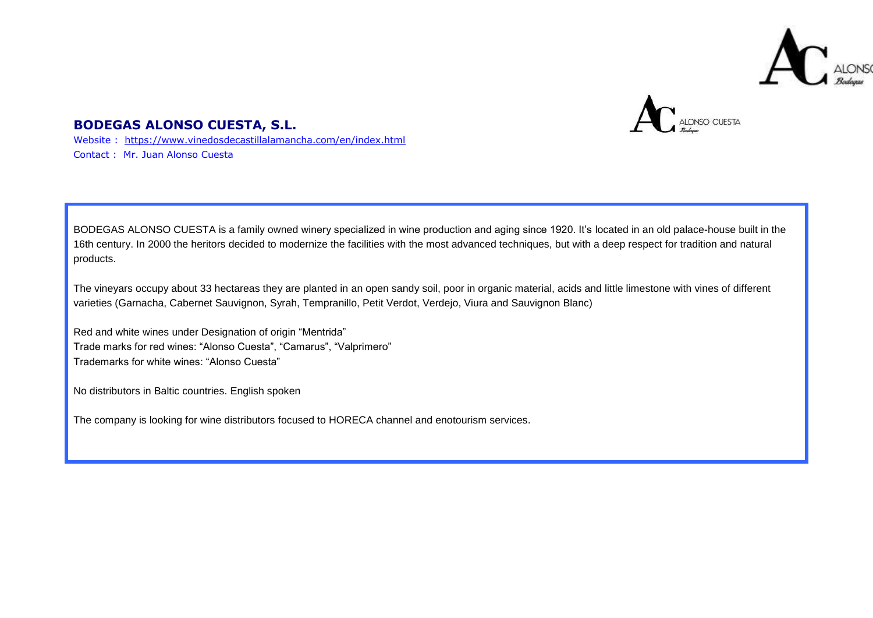



#### **BODEGAS ALONSO CUESTA, S.L.**

Website : <https://www.vinedosdecastillalamancha.com/en/index.html> Contact : Mr. Juan Alonso Cuesta

BODEGAS ALONSO CUESTA is a family owned winery specialized in wine production and aging since 1920. It's located in an old palace-house built in the 16th century. In 2000 the heritors decided to modernize the facilities with the most advanced techniques, but with a deep respect for tradition and natural products.

The vineyars occupy about 33 hectareas they are planted in an open sandy soil, poor in organic material, acids and little limestone with vines of different varieties (Garnacha, Cabernet Sauvignon, Syrah, Tempranillo, Petit Verdot, Verdejo, Viura and Sauvignon Blanc)

Red and white wines under Designation of origin "Mentrida" Trade marks for red wines: "Alonso Cuesta", "Camarus", "Valprimero" Trademarks for white wines: "Alonso Cuesta"

No distributors in Baltic countries. English spoken

The company is looking for wine distributors focused to HORECA channel and enotourism services.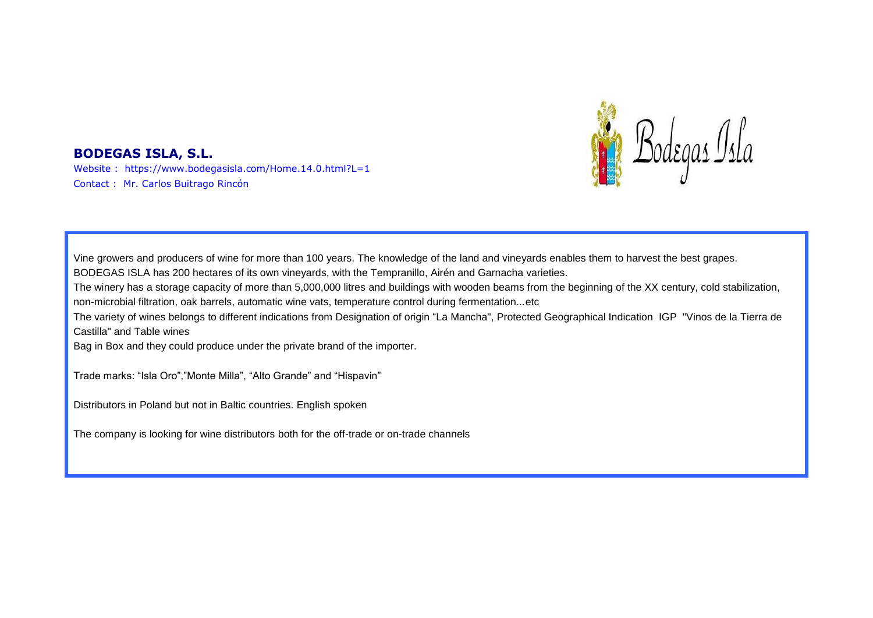

#### **BODEGAS ISLA, S.L.**

Website : https://www.bodegasisla.com/Home.14.0.html?L=1 Contact : Mr. Carlos Buitrago Rincón

Vine growers and producers of wine for more than 100 years. The knowledge of the land and vineyards enables them to harvest the best grapes. BODEGAS ISLA has 200 hectares of its own vineyards, with the Tempranillo, Airén and Garnacha varieties. The winery has a storage capacity of more than 5,000,000 litres and buildings with wooden beams from the beginning of the XX century, cold stabilization, non-microbial filtration, oak barrels, automatic wine vats, temperature control during fermentation...etc The variety of wines belongs to different indications from Designation of origin "La Mancha", Protected Geographical Indication IGP "Vinos de la Tierra de Castilla" and Table wines Bag in Box and they could produce under the private brand of the importer. Trade marks: "Isla Oro","Monte Milla", "Alto Grande" and "Hispavin" Distributors in Poland but not in Baltic countries. English spoken

The company is looking for wine distributors both for the off-trade or on-trade channels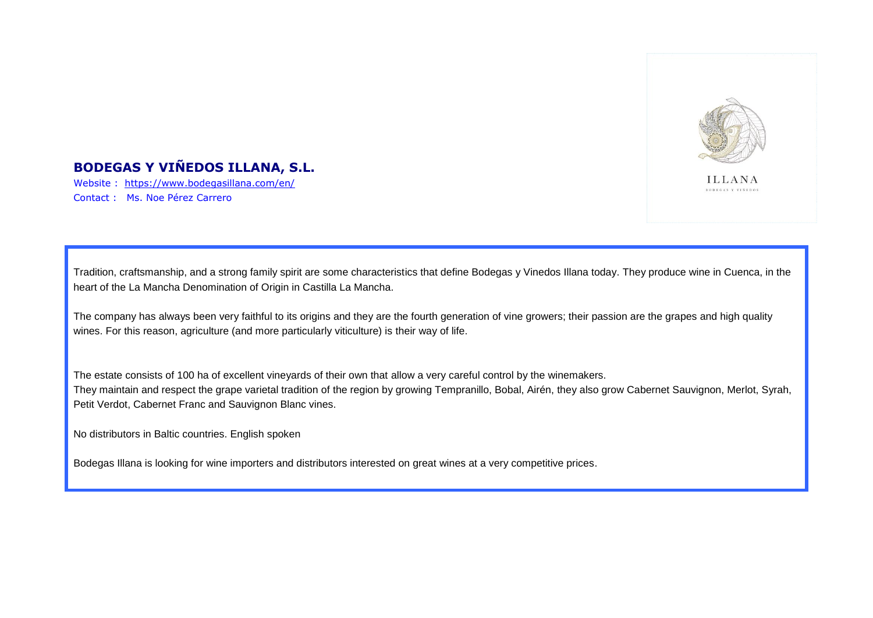

# **BODEGAS Y VIÑEDOS ILLANA, S.L.**

Website : <https://www.bodegasillana.com/en/> Contact : Ms. Noe Pérez Carrero

Tradition, craftsmanship, and a strong family spirit are some characteristics that define Bodegas y Vinedos Illana today. They produce wine in Cuenca, in the heart of the La Mancha Denomination of Origin in Castilla La Mancha.

The company has always been very faithful to its origins and they are the fourth generation of vine growers; their passion are the grapes and high quality wines. For this reason, agriculture (and more particularly viticulture) is their way of life.

The estate consists of 100 ha of excellent vineyards of their own that allow a very careful control by the winemakers. They maintain and respect the grape varietal tradition of the region by growing Tempranillo, Bobal, Airén, they also grow Cabernet Sauvignon, Merlot, Syrah, Petit Verdot, Cabernet Franc and Sauvignon Blanc vines.

No distributors in Baltic countries. English spoken

Bodegas Illana is looking for wine importers and distributors interested on great wines at a very competitive prices.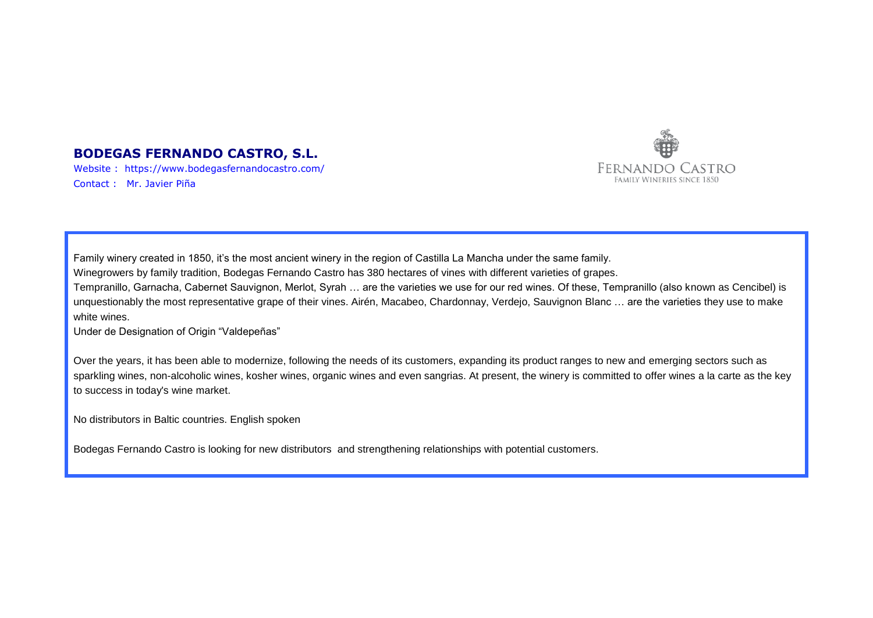

#### **BODEGAS FERNANDO CASTRO, S.L.**

Website : https://www.bodegasfernandocastro.com/ Contact : Mr. Javier Piña

Family winery created in 1850, it's the most ancient winery in the region of Castilla La Mancha under the same family.

Winegrowers by family tradition, Bodegas Fernando Castro has 380 hectares of vines with different varieties of grapes.

Tempranillo, Garnacha, Cabernet Sauvignon, Merlot, Syrah … are the varieties we use for our red wines. Of these, Tempranillo (also known as Cencibel) is unquestionably the most representative grape of their vines. Airén, Macabeo, Chardonnay, Verdejo, Sauvignon Blanc … are the varieties they use to make white wines.

Under de Designation of Origin "Valdepeñas"

Over the years, it has been able to modernize, following the needs of its customers, expanding its product ranges to new and emerging sectors such as sparkling wines, non-alcoholic wines, kosher wines, organic wines and even sangrias. At present, the winery is committed to offer wines a la carte as the key to success in today's wine market.

No distributors in Baltic countries. English spoken

Bodegas Fernando Castro is looking for new distributors and strengthening relationships with potential customers.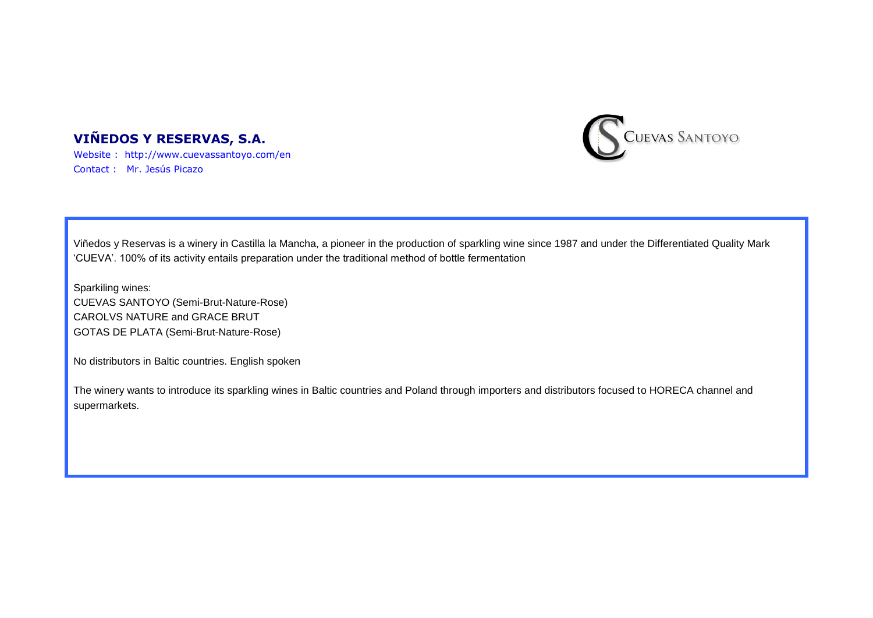# **VIÑEDOS Y RESERVAS, S.A.**



Website : http://www.cuevassantoyo.com/en Contact : Mr. Jesús Picazo

Viñedos y Reservas is a winery in Castilla la Mancha, a pioneer in the production of sparkling wine since 1987 and under the Differentiated Quality Mark 'CUEVA'. 100% of its activity entails preparation under the traditional method of bottle fermentation

Sparkiling wines: CUEVAS SANTOYO (Semi-Brut-Nature-Rose) CAROLVS NATURE and GRACE BRUT GOTAS DE PLATA (Semi-Brut-Nature-Rose)

No distributors in Baltic countries. English spoken

The winery wants to introduce its sparkling wines in Baltic countries and Poland through importers and distributors focused to HORECA channel and supermarkets.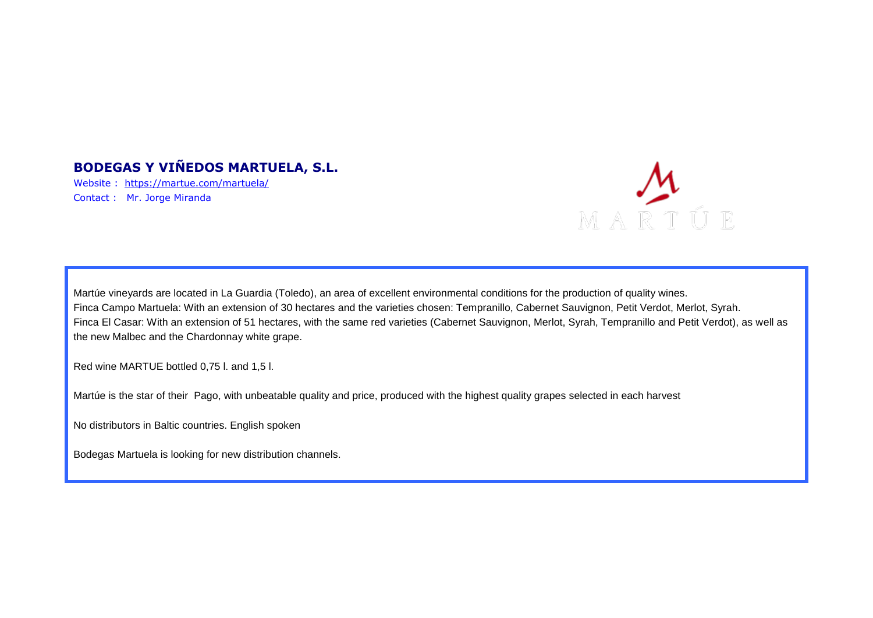# **BODEGAS Y VIÑEDOS MARTUELA, S.L.**

Website : <https://martue.com/martuela/> Contact : Mr. Jorge Miranda



Martúe vineyards are located in La Guardia (Toledo), an area of excellent environmental conditions for the production of quality wines. Finca Campo Martuela: With an extension of 30 hectares and the varieties chosen: Tempranillo, Cabernet Sauvignon, Petit Verdot, Merlot, Syrah. Finca El Casar: With an extension of 51 hectares, with the same red varieties (Cabernet Sauvignon, Merlot, Syrah, Tempranillo and Petit Verdot), as well as the new Malbec and the Chardonnay white grape.

Red wine MARTUE bottled 0,75 l. and 1,5 l.

Martúe is the star of their Pago, with unbeatable quality and price, produced with the highest quality grapes selected in each harvest

No distributors in Baltic countries. English spoken

Bodegas Martuela is looking for new distribution channels.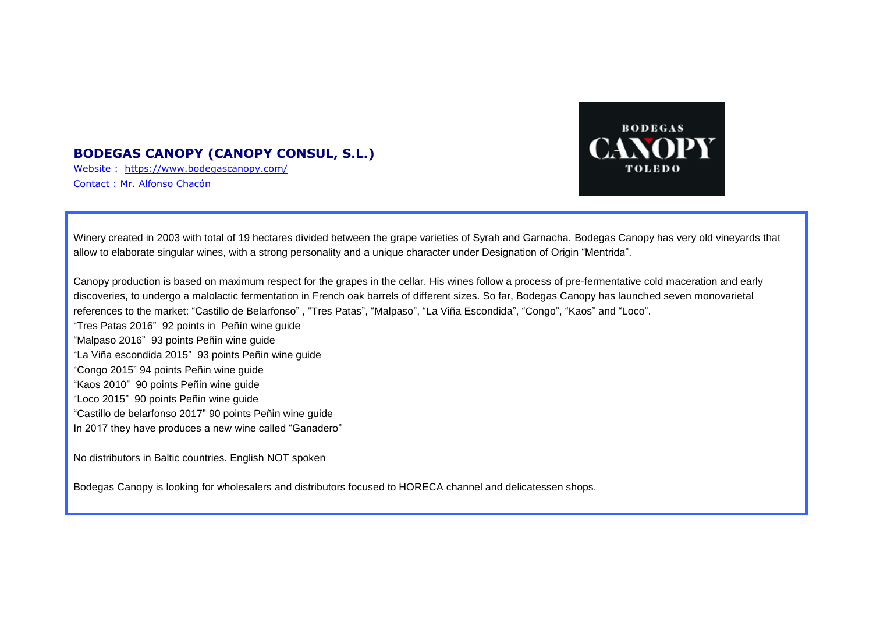#### **BODEGAS CANOPY (CANOPY CONSUL, S.L.)**

Website : <https://www.bodegascanopy.com/> Contact : Mr. Alfonso Chacón



Winery created in 2003 with total of 19 hectares divided between the grape varieties of Syrah and Garnacha. Bodegas Canopy has very old vineyards that allow to elaborate singular wines, with a strong personality and a unique character under Designation of Origin "Mentrida".

Canopy production is based on maximum respect for the grapes in the cellar. His wines follow a process of pre-fermentative cold maceration and early discoveries, to undergo a malolactic fermentation in French oak barrels of different sizes. So far, Bodegas Canopy has launched seven monovarietal references to the market: "Castillo de Belarfonso" , "Tres Patas", "Malpaso", "La Viña Escondida", "Congo", "Kaos" and "Loco".

"Tres Patas 2016" 92 points in Peñín wine guide "Malpaso 2016" 93 points Peñin wine guide "La Viña escondida 2015" 93 points Peñin wine guide "Congo 2015" 94 points Peñin wine guide "Kaos 2010" 90 points Peñin wine guide "Loco 2015" 90 points Peñin wine guide "Castillo de belarfonso 2017" 90 points Peñin wine guide In 2017 they have produces a new wine called "Ganadero"

No distributors in Baltic countries. English NOT spoken

Bodegas Canopy is looking for wholesalers and distributors focused to HORECA channel and delicatessen shops.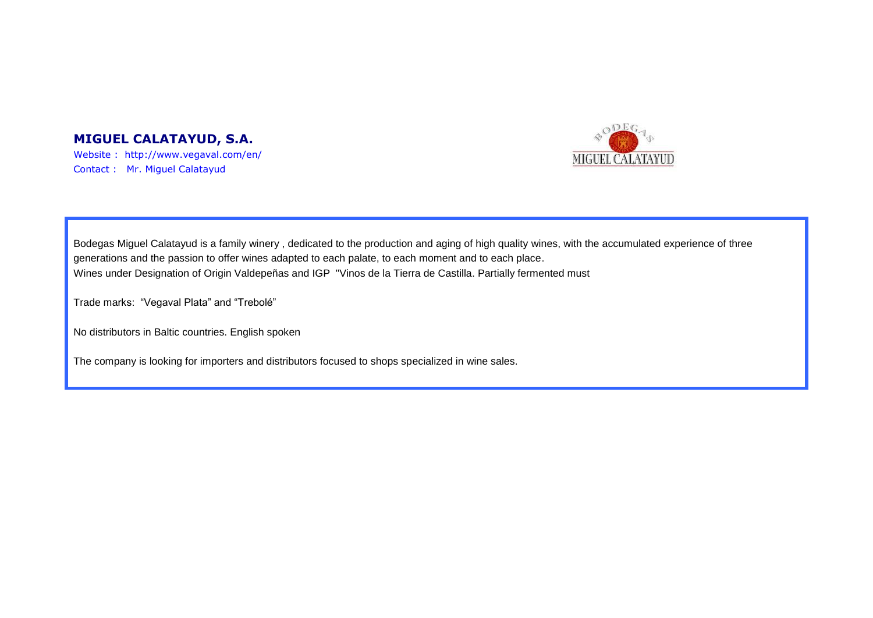#### **MIGUEL CALATAYUD, S.A.**

Website : http://www.vegaval.com/en/ Contact : Mr. Miguel Calatayud



Bodegas Miguel Calatayud is a family winery , dedicated to the production and aging of high quality wines, with the accumulated experience of three generations and the passion to offer wines adapted to each palate, to each moment and to each place. Wines under Designation of Origin Valdepeñas and IGP "Vinos de la Tierra de Castilla. Partially fermented must

Trade marks: "Vegaval Plata" and "Trebolé"

No distributors in Baltic countries. English spoken

The company is looking for importers and distributors focused to shops specialized in wine sales.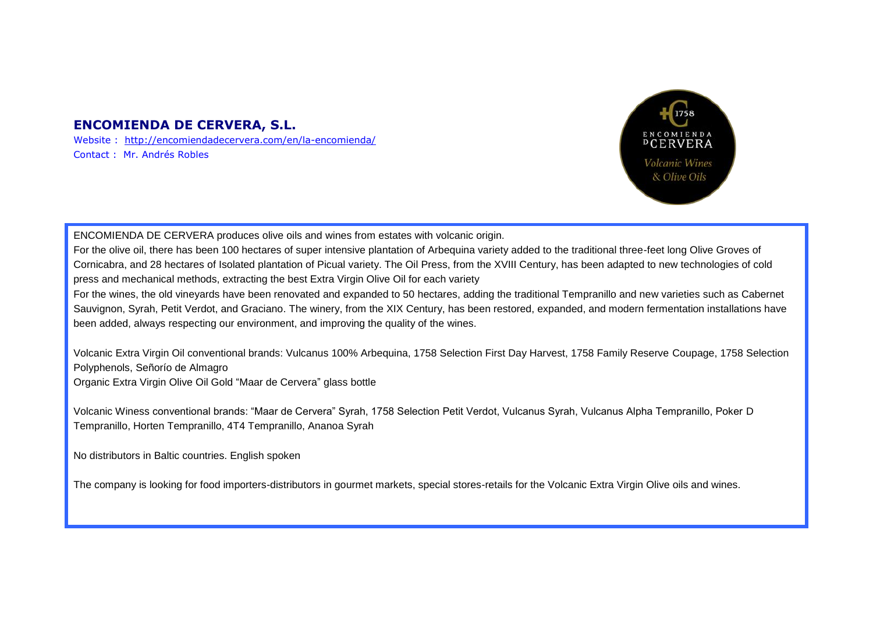#### **ENCOMIENDA DE CERVERA, S.L.**

Website : <http://encomiendadecervera.com/en/la-encomienda/> Contact : Mr. Andrés Robles



ENCOMIENDA DE CERVERA produces olive oils and wines from estates with volcanic origin.

For the olive oil, there has been 100 hectares of super intensive plantation of Arbequina variety added to the traditional three-feet long Olive Groves of Cornicabra, and 28 hectares of Isolated plantation of Picual variety. The Oil Press, from the XVIII Century, has been adapted to new technologies of cold press and mechanical methods, extracting the best Extra Virgin Olive Oil for each variety

For the wines, the old vineyards have been renovated and expanded to 50 hectares, adding the traditional Tempranillo and new varieties such as Cabernet Sauvignon, Syrah, Petit Verdot, and Graciano. The winery, from the XIX Century, has been restored, expanded, and modern fermentation installations have been added, always respecting our environment, and improving the quality of the wines.

Volcanic Extra Virgin Oil conventional brands: Vulcanus 100% Arbequina, 1758 Selection First Day Harvest, 1758 Family Reserve Coupage, 1758 Selection Polyphenols, Señorío de Almagro

Organic Extra Virgin Olive Oil Gold "Maar de Cervera" glass bottle

Volcanic Winess conventional brands: "Maar de Cervera" Syrah, 1758 Selection Petit Verdot, Vulcanus Syrah, Vulcanus Alpha Tempranillo, Poker D Tempranillo, Horten Tempranillo, 4T4 Tempranillo, Ananoa Syrah

No distributors in Baltic countries. English spoken

The company is looking for food importers-distributors in gourmet markets, special stores-retails for the Volcanic Extra Virgin Olive oils and wines.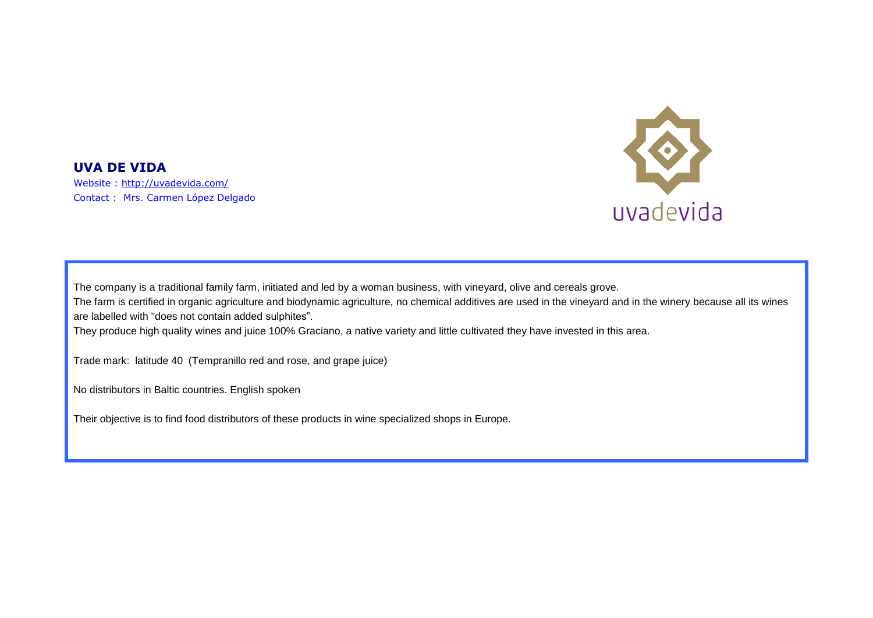

**UVA DE VIDA**  Website :<http://uvadevida.com/> Contact : Mrs. Carmen López Delgado

The company is a traditional family farm, initiated and led by a woman business, with vineyard, olive and cereals grove. The farm is certified in organic agriculture and biodynamic agriculture, no chemical additives are used in the vineyard and in the winery because all its wines are labelled with "does not contain added sulphites".

They produce high quality wines and juice 100% Graciano, a native variety and little cultivated they have invested in this area.

Trade mark: latitude 40 (Tempranillo red and rose, and grape juice)

No distributors in Baltic countries. English spoken

Their objective is to find food distributors of these products in wine specialized shops in Europe.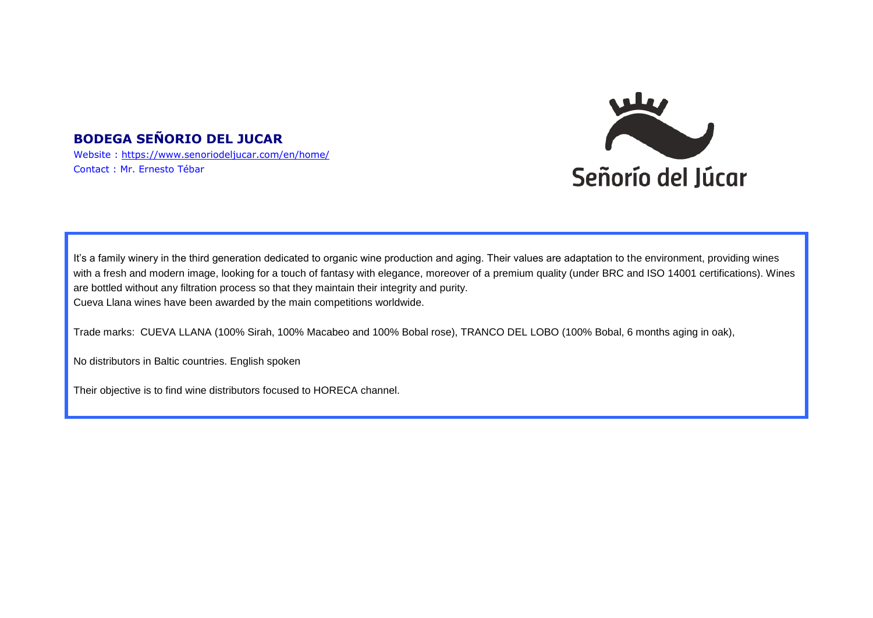# **BODEGA SEÑORIO DEL JUCAR**

Website :<https://www.senoriodeljucar.com/en/home/> Contact : Mr. Ernesto Tébar



It's a family winery in the third generation dedicated to organic wine production and aging. Their values are adaptation to the environment, providing wines with a fresh and modern image, looking for a touch of fantasy with elegance, moreover of a premium quality (under BRC and ISO 14001 certifications). Wines are bottled without any filtration process so that they maintain their integrity and purity. Cueva Llana wines have been awarded by the main competitions worldwide.

Trade marks: CUEVA LLANA (100% Sirah, 100% Macabeo and 100% Bobal rose), TRANCO DEL LOBO (100% Bobal, 6 months aging in oak),

No distributors in Baltic countries. English spoken

Their objective is to find wine distributors focused to HORECA channel.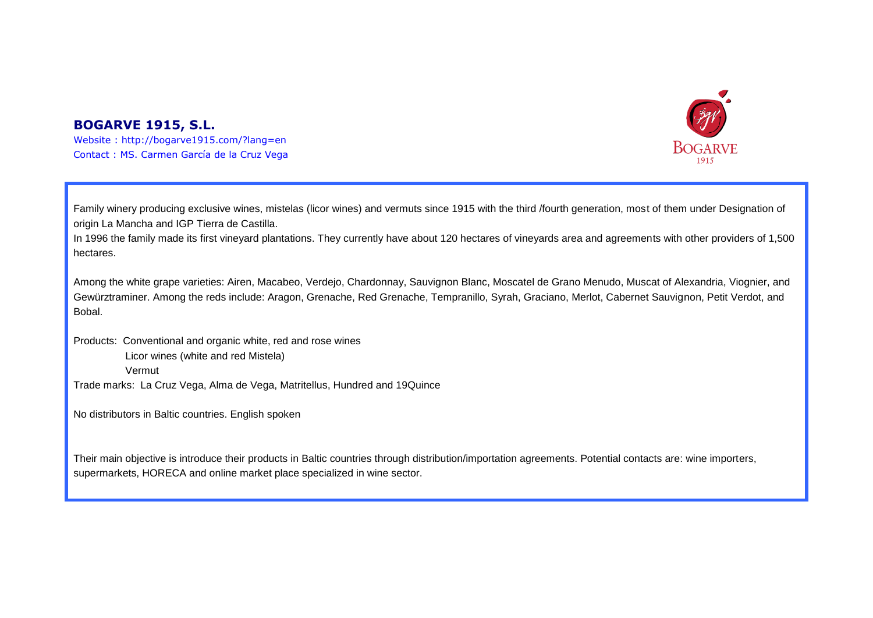#### **BOGARVE 1915, S.L.**





Family winery producing exclusive wines, mistelas (licor wines) and vermuts since 1915 with the third /fourth generation, most of them under Designation of origin La Mancha and IGP Tierra de Castilla.

In 1996 the family made its first vineyard plantations. They currently have about 120 hectares of vineyards area and agreements with other providers of 1,500 hectares.

Among the white grape varieties: Airen, Macabeo, Verdejo, Chardonnay, Sauvignon Blanc, Moscatel de Grano Menudo, Muscat of Alexandria, Viognier, and Gewürztraminer. Among the reds include: Aragon, Grenache, Red Grenache, Tempranillo, Syrah, Graciano, Merlot, Cabernet Sauvignon, Petit Verdot, and **Bobal** 

Products: Conventional and organic white, red and rose wines Licor wines (white and red Mistela) Vermut Trade marks: La Cruz Vega, Alma de Vega, Matritellus, Hundred and 19Quince

No distributors in Baltic countries. English spoken

Their main objective is introduce their products in Baltic countries through distribution/importation agreements. Potential contacts are: wine importers, supermarkets, HORECA and online market place specialized in wine sector.